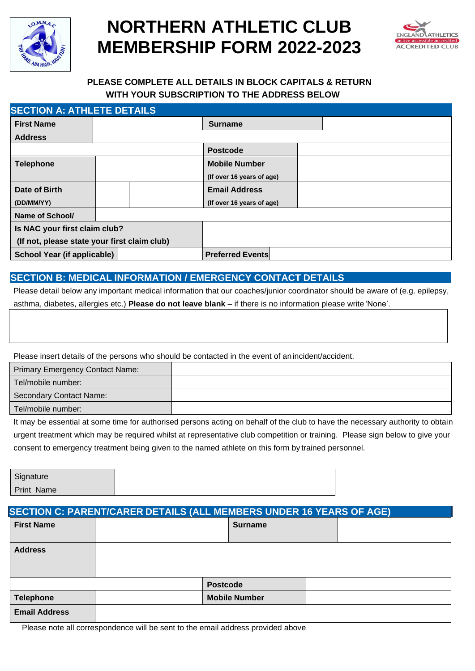

# **NORTHERN ATHLETIC CLUB MEMBERSHIP FORM 2022-2023**



## **PLEASE COMPLETE ALL DETAILS IN BLOCK CAPITALS & RETURN WITH YOUR SUBSCRIPTION TO THE ADDRESS BELOW**

| <b>SECTION A: ATHLETE DETAILS</b>            |  |  |                           |  |  |
|----------------------------------------------|--|--|---------------------------|--|--|
| <b>First Name</b>                            |  |  | <b>Surname</b>            |  |  |
| <b>Address</b>                               |  |  |                           |  |  |
|                                              |  |  | <b>Postcode</b>           |  |  |
| <b>Telephone</b>                             |  |  | <b>Mobile Number</b>      |  |  |
|                                              |  |  | (If over 16 years of age) |  |  |
| Date of Birth                                |  |  | <b>Email Address</b>      |  |  |
| (DD/MM/YY)                                   |  |  | (If over 16 years of age) |  |  |
| <b>Name of School/</b>                       |  |  |                           |  |  |
| Is NAC your first claim club?                |  |  |                           |  |  |
| (If not, please state your first claim club) |  |  |                           |  |  |
| <b>School Year (if applicable)</b>           |  |  | <b>Preferred Events</b>   |  |  |

### **SECTION B: MEDICAL INFORMATION / EMERGENCY CONTACT DETAILS**

Please detail below any important medical information that our coaches/junior coordinator should be aware of (e.g. epilepsy, asthma, diabetes, allergies etc.) **Please do not leave blank** – if there is no information please write 'None'.

Please insert details of the persons who should be contacted in the event of anincident/accident.

| <b>Primary Emergency Contact Name:</b> |  |
|----------------------------------------|--|
| Tel/mobile number:                     |  |
| Secondary Contact Name:                |  |
| Tel/mobile number:                     |  |

It may be essential at some time for authorised persons acting on behalf of the club to have the necessary authority to obtain urgent treatment which may be required whilst at representative club competition or training. Please sign below to give your consent to emergency treatment being given to the named athlete on this form by trained personnel.

| Signature         |  |
|-------------------|--|
| <b>Print Name</b> |  |

| <b>SECTION C: PARENT/CARER DETAILS (ALL MEMBERS UNDER 16 YEARS OF AGE)</b> |  |                      |  |  |
|----------------------------------------------------------------------------|--|----------------------|--|--|
| <b>First Name</b>                                                          |  | <b>Surname</b>       |  |  |
| <b>Address</b>                                                             |  |                      |  |  |
|                                                                            |  | <b>Postcode</b>      |  |  |
| <b>Telephone</b>                                                           |  | <b>Mobile Number</b> |  |  |
| <b>Email Address</b>                                                       |  |                      |  |  |

Please note all correspondence will be sent to the email address provided above